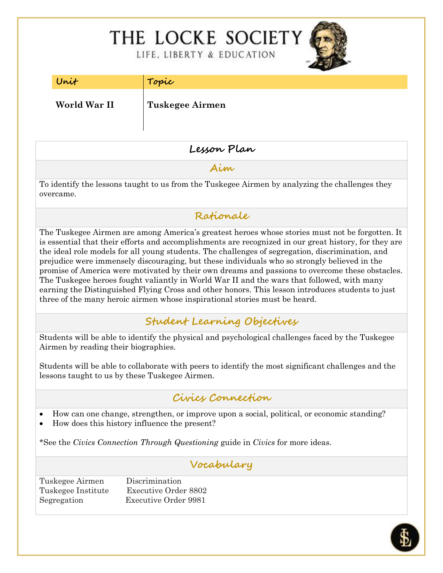# THE LOCKE SOCIETY

LIFE, LIBERTY & EDUCATION



| Unit |
|------|
|      |

**Unit Topic**

**World War II Tuskegee Airmen**

# **Lesson Plan**

**Aim**

To identify the lessons taught to us from the Tuskegee Airmen by analyzing the challenges they overcame.

**Rationale**

The Tuskegee Airmen are among America's greatest heroes whose stories must not be forgotten. It is essential that their efforts and accomplishments are recognized in our great history, for they are the ideal role models for all young students. The challenges of segregation, discrimination, and prejudice were immensely discouraging, but these individuals who so strongly believed in the promise of America were motivated by their own dreams and passions to overcome these obstacles. The Tuskegee heroes fought valiantly in World War II and the wars that followed, with many earning the Distinguished Flying Cross and other honors. This lesson introduces students to just three of the many heroic airmen whose inspirational stories must be heard.

**Student Learning Objectives**

Students will be able to identify the physical and psychological challenges faced by the Tuskegee Airmen by reading their biographies.

Students will be able to collaborate with peers to identify the most significant challenges and the lessons taught to us by these Tuskegee Airmen.

# **Civics Connection**

- How can one change, strengthen, or improve upon a social, political, or economic standing?
- How does this history influence the present?

\*See the *Civics Connection Through Questioning* guide in *Civics* for more ideas.

# **Vocabulary**

Tuskegee Airmen Discrimination Tuskegee Institute Executive Order 8802 Segregation Executive Order 9981

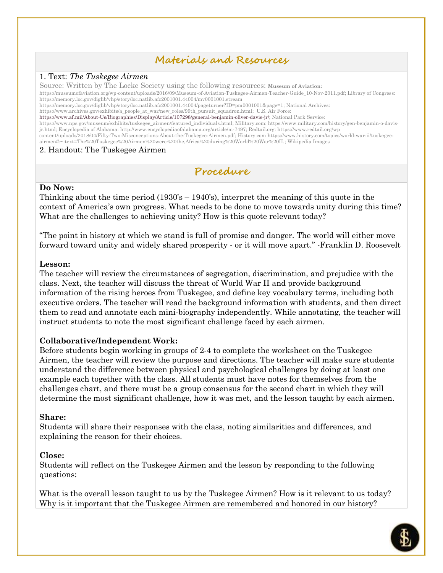# **Materials and Resources**

#### 1. Text: *The Tuskegee Airmen*

Source: Written by The Locke Society using the following resources: **Museum of Aviation:**

[https://museumofaviation.org/wp-content/uploads/2016/09/Museum-of-Aviation-Tuskegee-Airmen-Teacher-Guide\\_10-Nov-2011.pdf;](https://museumofaviation.org/wp-content/uploads/2016/09/Museum-of-Aviation-Tuskegee-Airmen-Teacher-Guide_10-Nov-2011.pdf) Library of Congress: <https://memory.loc.gov/diglib/vhp/story/loc.natlib.afc2001001.44004/mv0001001.stream>

[https://memory.loc.gov/diglib/vhp/story/loc.natlib.afc2001001.44004/pageturner?ID=pm0001001&page=1;](https://memory.loc.gov/diglib/vhp/story/loc.natlib.afc2001001.44004/pageturner?ID=pm0001001&page=1) National Archives:

[https://www.archives.gov/exhibits/a\\_people\\_at\\_war/new\\_roles/99th\\_pursuit\\_squadron.html;](https://www.archives.gov/exhibits/a_people_at_war/new_roles/99th_pursuit_squadron.html) U.S. Air Force:

[https://www.af.mil/About-Us/Biographies/Display/Article/107298/general-benjamin-oliver-davis-jr/;](https://www.af.mil/About-Us/Biographies/Display/Article/107298/general-benjamin-oliver-davis-jr/) National Park Service:

[https://www.nps.gov/museum/exhibits/tuskegee\\_airmen/featured\\_individuals.html;](https://www.nps.gov/museum/exhibits/tuskegee_airmen/featured_individuals.html) Military.com: [https://www.military.com/history/gen-benjamin-o-davis](https://www.military.com/history/gen-benjamin-o-davis-jr.html)[jr.html;](https://www.military.com/history/gen-benjamin-o-davis-jr.html) Encyclopedia of Alabama: [http://www.encyclopediaofalabama.org/article/m-7497;](http://www.encyclopediaofalabama.org/article/m-7497) Redtail.org: [https://www.redtail.org/wp](https://www.redtail.org/wp%20content/uploads/2018/04/Fifty-Two-Misconceptions-About-the-Tuskegee-Airmen.pdf) [content/uploads/2018/04/Fifty-Two-Misconceptions-About-the-Tuskegee-Airmen.pdf;](https://www.redtail.org/wp%20content/uploads/2018/04/Fifty-Two-Misconceptions-About-the-Tuskegee-Airmen.pdf) History.com [https://www.history.com/topics/world-war-ii/tuskegee](https://www.history.com/topics/world-war-ii/tuskegee-airmen#:~:text=The%20Tuskegee%20Airmen%20were%20the,Africa%20during%20World%20War%20II.)[airmen#:~:text=The%20Tuskegee%20Airmen%20were%20the,Africa%20during%20World%20War%20II.;](https://www.history.com/topics/world-war-ii/tuskegee-airmen#:~:text=The%20Tuskegee%20Airmen%20were%20the,Africa%20during%20World%20War%20II.) Wikipedia Images

#### 2. Handout: The Tuskegee Airmen

**Procedure**

#### **Do Now:**

Thinking about the time period (1930's – 1940's), interpret the meaning of this quote in the context of America's own progress. What needs to be done to move towards unity during this time? What are the challenges to achieving unity? How is this quote relevant today?

"The point in history at which we stand is full of promise and danger. The world will either move forward toward unity and widely shared prosperity - or it will move apart." [-Franklin D. Roosevelt](https://www.brainyquote.com/authors/franklin-d-roosevelt-quotes)

#### **Lesson:**

The teacher will review the circumstances of segregation, discrimination, and prejudice with the class. Next, the teacher will discuss the threat of World War II and provide background information of the rising heroes from Tuskegee, and define key vocabulary terms, including both executive orders. The teacher will read the background information with students, and then direct them to read and annotate each mini-biography independently. While annotating, the teacher will instruct students to note the most significant challenge faced by each airmen.

#### **Collaborative/Independent Work:**

Before students begin working in groups of 2-4 to complete the worksheet on the Tuskegee Airmen, the teacher will review the purpose and directions. The teacher will make sure students understand the difference between physical and psychological challenges by doing at least one example each together with the class. All students must have notes for themselves from the challenges chart, and there must be a group consensus for the second chart in which they will determine the most significant challenge, how it was met, and the lesson taught by each airmen.

#### **Share:**

Students will share their responses with the class, noting similarities and differences, and explaining the reason for their choices.

#### **Close:**

Students will reflect on the Tuskegee Airmen and the lesson by responding to the following questions:

What is the overall lesson taught to us by the Tuskegee Airmen? How is it relevant to us today? Why is it important that the Tuskegee Airmen are remembered and honored in our history?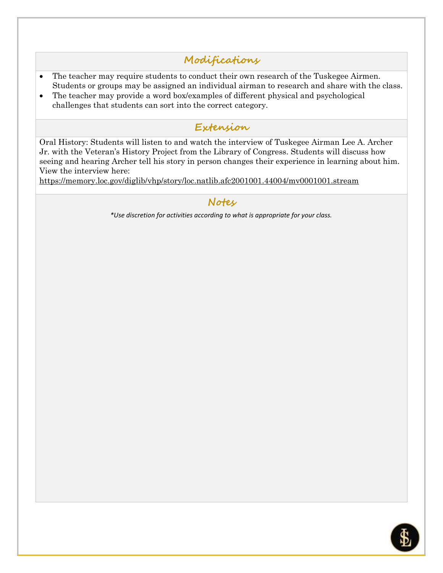# **Modifications**

- The teacher may require students to conduct their own research of the Tuskegee Airmen. Students or groups may be assigned an individual airman to research and share with the class.
- The teacher may provide a word box/examples of different physical and psychological challenges that students can sort into the correct category.

# **Extension**

Oral History: Students will listen to and watch the interview of Tuskegee Airman Lee A. Archer Jr. with the Veteran's History Project from the Library of Congress. Students will discuss how seeing and hearing Archer tell his story in person changes their experience in learning about him. View the interview here:

<https://memory.loc.gov/diglib/vhp/story/loc.natlib.afc2001001.44004/mv0001001.stream>

## **Notes**

*\*Use discretion for activities according to what is appropriate for your class.*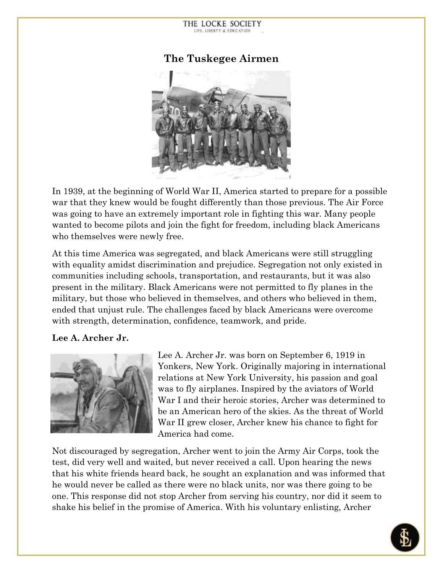THE LOCKE SOCIETY LIFE, LIBERTY & EDUCATION



In 1939, at the beginning of World War II, America started to prepare for a possible war that they knew would be fought differently than those previous. The Air Force was going to have an extremely important role in fighting this war. Many people wanted to become pilots and join the fight for freedom, including black Americans who themselves were newly free.

At this time America was segregated, and black Americans were still struggling with equality amidst discrimination and prejudice. Segregation not only existed in communities including schools, transportation, and restaurants, but it was also present in the military. Black Americans were not permitted to fly planes in the military, but those who believed in themselves, and others who believed in them, ended that unjust rule. The challenges faced by black Americans were overcome with strength, determination, confidence, teamwork, and pride.

#### **Lee A. Archer Jr.**



Lee A. Archer Jr. was born on September 6, 1919 in Yonkers, New York. Originally majoring in international relations at New York University, his passion and goal was to fly airplanes. Inspired by the aviators of World War I and their heroic stories, Archer was determined to be an American hero of the skies. As the threat of World War II grew closer, Archer knew his chance to fight for America had come.

Not discouraged by segregation, Archer went to join the Army Air Corps, took the test, did very well and waited, but never received a call. Upon hearing the news that his white friends heard back, he sought an explanation and was informed that he would never be called as there were no black units, nor was there going to be one. This response did not stop Archer from serving his country, nor did it seem to shake his belief in the promise of America. With his voluntary enlisting, Archer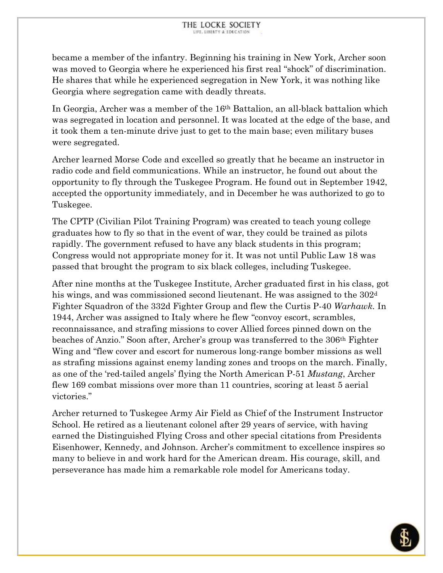became a member of the infantry. Beginning his training in New York, Archer soon was moved to Georgia where he experienced his first real "shock" of discrimination. He shares that while he experienced segregation in New York, it was nothing like Georgia where segregation came with deadly threats.

In Georgia, Archer was a member of the 16th Battalion, an all-black battalion which was segregated in location and personnel. It was located at the edge of the base, and it took them a ten-minute drive just to get to the main base; even military buses were segregated.

Archer learned Morse Code and excelled so greatly that he became an instructor in radio code and field communications. While an instructor, he found out about the opportunity to fly through the Tuskegee Program. He found out in September 1942, accepted the opportunity immediately, and in December he was authorized to go to Tuskegee.

The CPTP (Civilian Pilot Training Program) was created to teach young college graduates how to fly so that in the event of war, they could be trained as pilots rapidly. The government refused to have any black students in this program; Congress would not appropriate money for it. It was not until Public Law 18 was passed that brought the program to six black colleges, including Tuskegee.

After nine months at the Tuskegee Institute, Archer graduated first in his class, got his wings, and was commissioned second lieutenant. He was assigned to the 302<sup>d</sup> Fighter Squadron of the 332d Fighter Group and flew the Curtis P-40 *Warhawk.* In 1944, Archer was assigned to Italy where he flew "convoy escort, scrambles, reconnaissance, and strafing missions to cover Allied forces pinned down on the beaches of Anzio." Soon after, Archer's group was transferred to the 306th Fighter Wing and "flew cover and escort for numerous long-range bomber missions as well as strafing missions against enemy landing zones and troops on the march. Finally, as one of the 'red-tailed angels' flying the North American P-51 *Mustang*, Archer flew 169 combat missions over more than 11 countries, scoring at least 5 aerial victories."

Archer returned to Tuskegee Army Air Field as Chief of the Instrument Instructor School. He retired as a lieutenant colonel after 29 years of service, with having earned the Distinguished Flying Cross and other special citations from Presidents Eisenhower, Kennedy, and Johnson. Archer's commitment to excellence inspires so many to believe in and work hard for the American dream. His courage, skill, and perseverance has made him a remarkable role model for Americans today.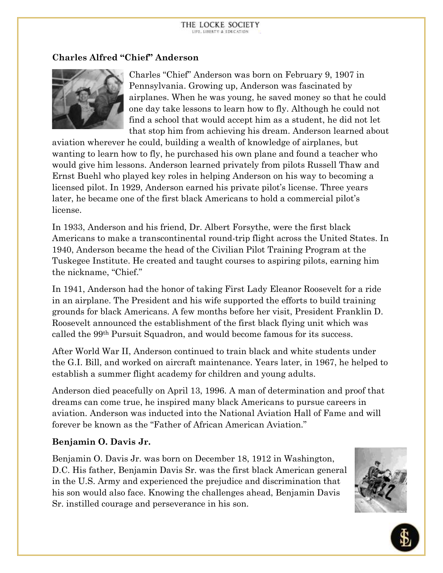### **Charles Alfred "Chief" Anderson**



Charles "Chief" Anderson was born on February 9, 1907 in Pennsylvania. Growing up, Anderson was fascinated by airplanes. When he was young, he saved money so that he could one day take lessons to learn how to fly. Although he could not find a school that would accept him as a student, he did not let that stop him from achieving his dream. Anderson learned about

aviation wherever he could, building a wealth of knowledge of airplanes, but wanting to learn how to fly, he purchased his own plane and found a teacher who would give him lessons. Anderson learned privately from pilots Russell Thaw and Ernst Buehl who played key roles in helping Anderson on his way to becoming a licensed pilot. In 1929, Anderson earned his private pilot's license. Three years later, he became one of the first black Americans to hold a commercial pilot's license.

In 1933, Anderson and his friend, Dr. Albert Forsythe, were the first black Americans to make a transcontinental round-trip flight across the United States. In 1940, Anderson became the head of the Civilian Pilot Training Program at the Tuskegee Institute. He created and taught courses to aspiring pilots, earning him the nickname, "Chief."

In 1941, Anderson had the honor of taking First Lady Eleanor Roosevelt for a ride in an airplane. The President and his wife supported the efforts to build training grounds for black Americans. A few months before her visit, President Franklin D. Roosevelt announced the establishment of the first black flying unit which was called the 99th Pursuit Squadron, and would become famous for its success.

After World War II, Anderson continued to train black and white students under the G.I. Bill, and worked on aircraft maintenance. Years later, in 1967, he helped to establish a summer flight academy for children and young adults.

Anderson died peacefully on April 13, 1996. A man of determination and proof that dreams can come true, he inspired many black Americans to pursue careers in aviation. Anderson was inducted into the National Aviation Hall of Fame and will forever be known as the "Father of African American Aviation."

#### **Benjamin O. Davis Jr.**

Benjamin O. Davis Jr. was born on December 18, 1912 in Washington, D.C. His father, Benjamin Davis Sr. was the first black American general in the U.S. Army and experienced the prejudice and discrimination that his son would also face. Knowing the challenges ahead, Benjamin Davis Sr. instilled courage and perseverance in his son.



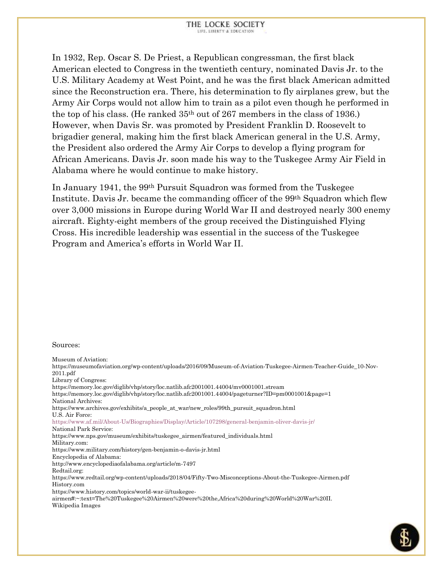In 1932, Rep. Oscar S. De Priest, a Republican congressman, the first black American elected to Congress in the twentieth century, nominated Davis Jr. to the U.S. Military Academy at West Point, and he was the first black American admitted since the Reconstruction era. There, his determination to fly airplanes grew, but the Army Air Corps would not allow him to train as a pilot even though he performed in the top of his class. (He ranked 35th out of 267 members in the class of 1936.) However, when Davis Sr. was promoted by President Franklin D. Roosevelt to brigadier general, making him the first black American general in the U.S. Army, the President also ordered the Army Air Corps to develop a flying program for African Americans. Davis Jr. soon made his way to the Tuskegee Army Air Field in Alabama where he would continue to make history.

In January 1941, the 99th Pursuit Squadron was formed from the Tuskegee Institute. Davis Jr. became the commanding officer of the 99th Squadron which flew over 3,000 missions in Europe during World War II and destroyed nearly 300 enemy aircraft. Eighty-eight members of the group received the Distinguished Flying Cross. His incredible leadership was essential in the success of the Tuskegee Program and America's efforts in World War II.

#### Sources:

Museum of Aviation: [https://museumofaviation.org/wp-content/uploads/2016/09/Museum-of-Aviation-Tuskegee-Airmen-Teacher-Guide\\_10-Nov-](https://museumofaviation.org/wp-content/uploads/2016/09/Museum-of-Aviation-Tuskegee-Airmen-Teacher-Guide_10-Nov-2011.pdf)[2011.pdf](https://museumofaviation.org/wp-content/uploads/2016/09/Museum-of-Aviation-Tuskegee-Airmen-Teacher-Guide_10-Nov-2011.pdf) Library of Congress: <https://memory.loc.gov/diglib/vhp/story/loc.natlib.afc2001001.44004/mv0001001.stream> <https://memory.loc.gov/diglib/vhp/story/loc.natlib.afc2001001.44004/pageturner?ID=pm0001001&page=1> National Archives: [https://www.archives.gov/exhibits/a\\_people\\_at\\_war/new\\_roles/99th\\_pursuit\\_squadron.html](https://www.archives.gov/exhibits/a_people_at_war/new_roles/99th_pursuit_squadron.html) U.S. Air Force: <https://www.af.mil/About-Us/Biographies/Display/Article/107298/general-benjamin-oliver-davis-jr/> National Park Service: [https://www.nps.gov/museum/exhibits/tuskegee\\_airmen/featured\\_individuals.html](https://www.nps.gov/museum/exhibits/tuskegee_airmen/featured_individuals.html) Military.com: <https://www.military.com/history/gen-benjamin-o-davis-jr.html> Encyclopedia of Alabama: <http://www.encyclopediaofalabama.org/article/m-7497> Redtail.org: <https://www.redtail.org/wp-content/uploads/2018/04/Fifty-Two-Misconceptions-About-the-Tuskegee-Airmen.pdf> History.com [https://www.history.com/topics/world-war-ii/tuskegee](https://www.history.com/topics/world-war-ii/tuskegee-airmen#:~:text=The%20Tuskegee%20Airmen%20were%20the,Africa%20during%20World%20War%20II.)[airmen#:~:text=The%20Tuskegee%20Airmen%20were%20the,Africa%20during%20World%20War%20II.](https://www.history.com/topics/world-war-ii/tuskegee-airmen#:~:text=The%20Tuskegee%20Airmen%20were%20the,Africa%20during%20World%20War%20II.) Wikipedia Images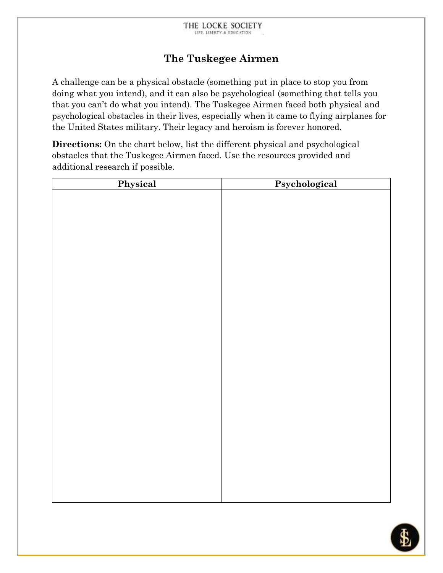# **The Tuskegee Airmen**

A challenge can be a physical obstacle (something put in place to stop you from doing what you intend), and it can also be psychological (something that tells you that you can't do what you intend). The Tuskegee Airmen faced both physical and psychological obstacles in their lives, especially when it came to flying airplanes for the United States military. Their legacy and heroism is forever honored.

**Directions:** On the chart below, list the different physical and psychological obstacles that the Tuskegee Airmen faced. Use the resources provided and additional research if possible.

| Physical | Psychological |  |
|----------|---------------|--|
|          |               |  |
|          |               |  |
|          |               |  |
|          |               |  |
|          |               |  |
|          |               |  |
|          |               |  |
|          |               |  |
|          |               |  |
|          |               |  |
|          |               |  |
|          |               |  |
|          |               |  |
|          |               |  |
|          |               |  |
|          |               |  |
|          |               |  |
|          |               |  |
|          |               |  |
|          |               |  |
|          |               |  |
|          |               |  |
|          |               |  |
|          |               |  |
|          |               |  |
|          |               |  |
|          |               |  |